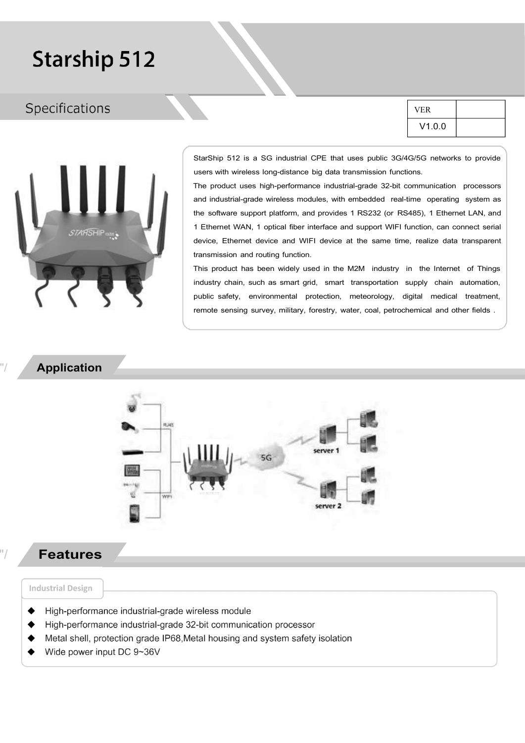# **Starship 512**

### Specifications

| <b>VFR</b> |  |  |  |
|------------|--|--|--|
| V1.0.0     |  |  |  |



StarShip 512 is a SG industrial CPE that uses public 3G/4G/5G networks to provide users with wireless long-distance big data transmission functions.

The product uses high-performance industrial-grade 32-bit communication processors and industrial-grade wireless modules, with embedded real-time operating system as the software support platform, and provides 1 RS232 (or RS485), 1 Ethernet LAN, and 1 Ethernet WAN, 1 optical fiber interface and support WIFI function, can connect serial device, Ethernet device and WIFI device at the same time, realize data transparent transmission and routing function.

This product has been widely used in the M2M industry in the Internet of Things industry chain, such as smart grid, smart transportation supply chain automation, public safety, environmental protection, meteorology, digital medical treatment, remote sensing survey, military, forestry, water, coal, petrochemical and other fields .

#### "/ Application



### "/ Features

#### **Industrial Design**

- High-performance industrial-grade wireless module
- High-performance industrial-grade 32-bit communication processor
- Metal shell, protection grade IP68, Metal housing and system safety isolation
- Wide power input DC 9~36V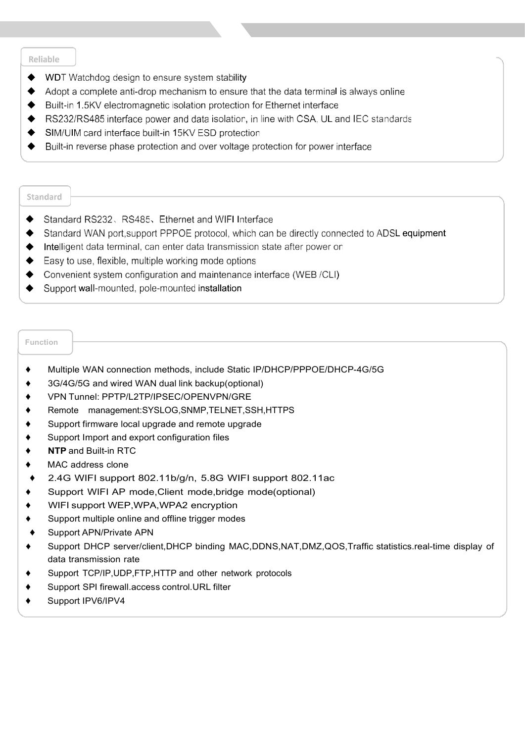#### Reliable

- WDT Watchdog design to ensure system stability  $\blacklozenge$
- Adopt a complete anti-drop mechanism to ensure that the data terminal is always online
- Built-in 1.5KV electromagnetic isolation protection for Ethernet interface
- RS232/RS485 interface power and data isolation, in line with CSA, UL and IEC standards
- SIM/UIM card interface built-in 15KV ESD protection
- Built-in reverse phase protection and over voltage protection for power interface

#### Standard

- Standard RS232, RS485, Ethernet and WIFI Interface  $\blacklozenge$
- Standard WAN port, support PPPOE protocol, which can be directly connected to ADSL equipment  $\bullet$
- Intelligent data terminal, can enter data transmission state after power on
- Easy to use, flexible, multiple working mode options
- ♦ Convenient system configuration and maintenance interface (WEB/CLI)
- ♦ Support wall-mounted, pole-mounted installation

#### Function

- ♦ Multiple WAN connection methods, include Static IP/DHCP/PPPOE/DHCP-4G/5G
- ♦ 3G/4G/5G and wired WAN dual link backup(optional)
- ♦ VPN Tunnel: PPTP/L2TP/IPSEC/OPENVPN/GRE
- Remote management:SYSLOG,SNMP,TELNET,SSH,HTTPS
- ♦ Support firmware local upgrade and remote upgrade
- ♦ Support Import and export configuration files
- ◆ NTP and Built-in RTC
- ♦ MAC address clone
- ♦ 2.4G WIFI support 802.11b/g/n, 5.8G WIFI support 802.11ac
- ♦ Support WIFI AP mode,Client mode,bridge mode(optional)
- WIFI support WEP, WPA, WPA2 encryption
- Support multiple online and offline trigger modes
- ♦ Support APN/Private APN
- ♦ Support DHCP server/client,DHCP binding MAC,DDNS,NAT,DMZ,QOS,Traffic statistics.real-time display of data transmission rate
- Support TCP/IP, UDP, FTP, HTTP and other network protocols
- Support SPI firewall.access control.URL filter
- Support IPV6/IPV4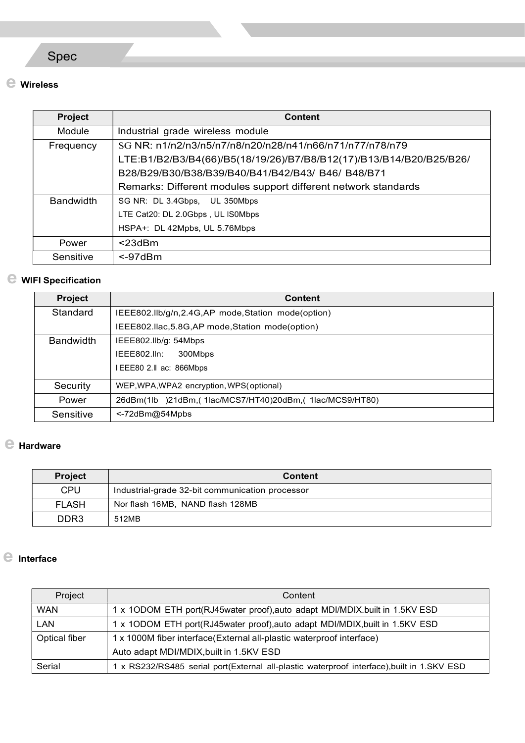## Spec

### e Wireless

| <b>Project</b>   | <b>Content</b>                                                      |
|------------------|---------------------------------------------------------------------|
| Module           | Industrial grade wireless module                                    |
| Frequency        | SG NR: n1/n2/n3/n5/n7/n8/n20/n28/n41/n66/n71/n77/n78/n79            |
|                  | LTE:B1/B2/B3/B4(66)/B5(18/19/26)/B7/B8/B12(17)/B13/B14/B20/B25/B26/ |
|                  | B28/B29/B30/B38/B39/B40/B41/B42/B43/B46/B48/B71                     |
|                  | Remarks: Different modules support different network standards      |
| <b>Bandwidth</b> | SG NR: DL 3.4Gbps, UL 350Mbps                                       |
|                  | LTE Cat20: DL 2.0Gbps, UL IS0Mbps                                   |
|                  | HSPA+: DL 42Mpbs, UL 5.76Mbps                                       |
| Power            | $<$ 23dBm                                                           |
| Sensitive        | $\leq$ -97dBm                                                       |

### e WIFI Specification

| <b>Project</b>   | <b>Content</b>                                          |
|------------------|---------------------------------------------------------|
| Standard         | IEEE802.IIb/g/n,2.4G,AP mode,Station mode(option)       |
|                  | IEEE802.Ilac, 5.8G, AP mode, Station mode (option)      |
| <b>Bandwidth</b> | IEEE802.IIb/g: 54Mbps                                   |
|                  | IEEE802.lln:<br>300Mbps                                 |
|                  | IEEE80 2.II ac: 866Mbps                                 |
| Security         | WEP, WPA, WPA2 encryption, WPS (optional)               |
| Power            | 26dBm(1lb )21dBm,(1lac/MCS7/HT40)20dBm,(1lac/MCS9/HT80) |
| Sensitive        | $\le$ -72dBm@54Mpbs                                     |

### e Hardware

| <b>Project</b>   | <b>Content</b>                                  |
|------------------|-------------------------------------------------|
| <b>CPU</b>       | Industrial-grade 32-bit communication processor |
| <b>FLASH</b>     | Nor flash 16MB, NAND flash 128MB                |
| DDR <sub>3</sub> | 512MB                                           |

### e Interface

| Project       | Content                                                                                  |
|---------------|------------------------------------------------------------------------------------------|
| <b>WAN</b>    | 1 x 1ODOM ETH port(RJ45water proof), auto adapt MDI/MDIX. built in 1.5KV ESD             |
| <b>LAN</b>    | 1 x 1ODOM ETH port(RJ45water proof), auto adapt MDI/MDIX, built in 1.5KV ESD             |
| Optical fiber | 1 x 1000M fiber interface(External all-plastic waterproof interface)                     |
|               | Auto adapt MDI/MDIX, built in 1.5KV ESD                                                  |
| Serial        | x RS232/RS485 serial port(External all-plastic waterproof interface), built in 1.SKV ESD |